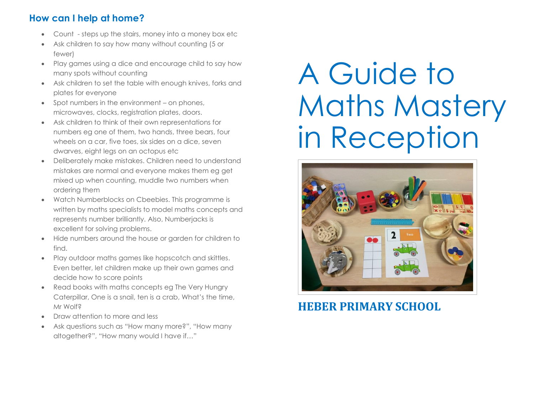# **How can I help at home?**

- Count steps up the stairs, money into a money box etc
- Ask children to say how many without counting (5 or fewer)
- Play games using a dice and encourage child to say how many spots without counting
- Ask children to set the table with enough knives, forks and plates for everyone
- Spot numbers in the environment on phones, microwaves, clocks, registration plates, doors.
- Ask children to think of their own representations for numbers eg one of them, two hands, three bears, four wheels on a car, five toes, six sides on a dice, seven dwarves, eight legs on an octopus etc
- Deliberately make mistakes. Children need to understand mistakes are normal and everyone makes them eg get mixed up when counting, muddle two numbers when ordering them
- Watch Numberblocks on Cbeebies. This programme is written by maths specialists to model maths concepts and represents number brilliantly. Also, Numberjacks is excellent for solving problems.
- Hide numbers around the house or garden for children to find.
- Play outdoor maths games like hopscotch and skittles. Even better, let children make up their own games and decide how to score points
- Read books with maths concepts eg The Very Hungry Caterpillar, One is a snail, ten is a crab, What's the time, Mr Wolf?
- Draw attention to more and less
- Ask questions such as "How many more?", "How many altogether?", "How many would I have if…"

# A Guide to Maths Mastery in Reception



**HEBER PRIMARY SCHOOL**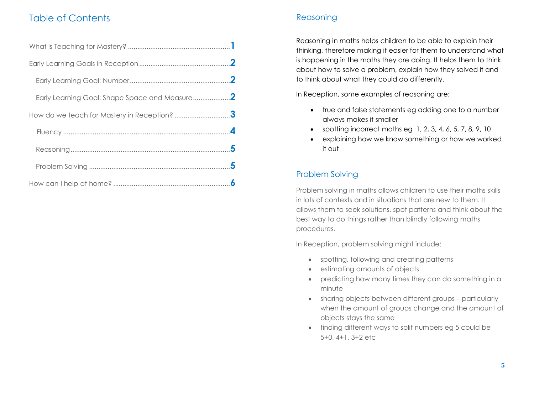# Table of Contents

| How do we teach for Mastery in Reception? 3 |  |
|---------------------------------------------|--|
|                                             |  |
|                                             |  |
|                                             |  |
|                                             |  |

## Reasoning

Reasoning in maths helps children to be able to explain their thinking, therefore making it easier for them to understand what is happening in the maths they are doing. It helps them to think about how to solve a problem, explain how they solved it and to think about what they could do differently.

In Reception, some examples of reasoning are:

- true and false statements eg adding one to a number always makes it smaller
- spotting incorrect maths eg  $1, 2, 3, 4, 6, 5, 7, 8, 9, 10$
- explaining how we know something or how we worked it out

## Problem Solving

Problem solving in maths allows children to use their maths skills in lots of contexts and in situations that are new to them. It allows them to seek solutions, spot patterns and think about the best way to do things rather than blindly following maths procedures.

In Reception, problem solving might include:

- spotting, following and creating patterns
- estimating amounts of objects
- predicting how many times they can do something in a minute
- sharing objects between different groups particularly when the amount of groups change and the amount of objects stays the same
- finding different ways to split numbers eg 5 could be 5+0, 4+1, 3+2 etc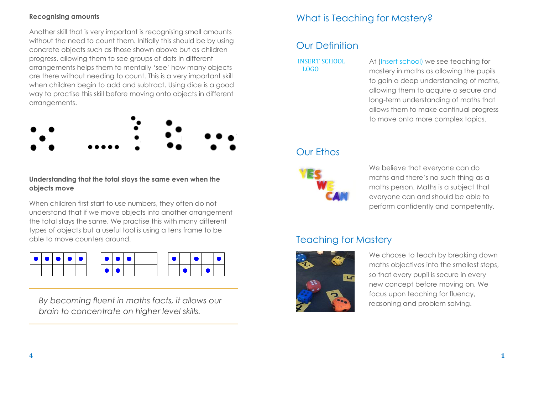### **Recognising amounts**

Another skill that is very important is recognising small amounts without the need to count them. Initially this should be by using concrete objects such as those shown above but as children progress, allowing them to see groups of dots in different arrangements helps them to mentally 'see' how many objects are there without needing to count. This is a very important skill when children begin to add and subtract. Using dice is a good way to practise this skill before moving onto objects in different arrangements.



## **Understanding that the total stays the same even when the objects move**

When children first start to use numbers, they often do not understand that if we move objects into another arrangement the total stays the same. We practise this with many different types of objects but a useful tool is using a tens frame to be able to move counters around.



*By becoming fluent in maths facts, it allows our brain to concentrate on higher level skills.*

# What is Teaching for Mastery?

## Our Definition

#### INSERT SCHOOL LOGO

At (Insert school) we see teaching for mastery in maths as allowing the pupils to gain a deep understanding of maths, allowing them to acquire a secure and long-term understanding of maths that allows them to make continual progress to move onto more complex topics.

## Our Ethos

We believe that everyone can do maths and there's no such thing as a maths person. Maths is a subject that everyone can and should be able to perform confidently and competently.

# Teaching for Mastery



We choose to teach by breaking down maths objectives into the smallest steps, so that every pupil is secure in every new concept before moving on. We focus upon teaching for fluency, reasoning and problem solving.